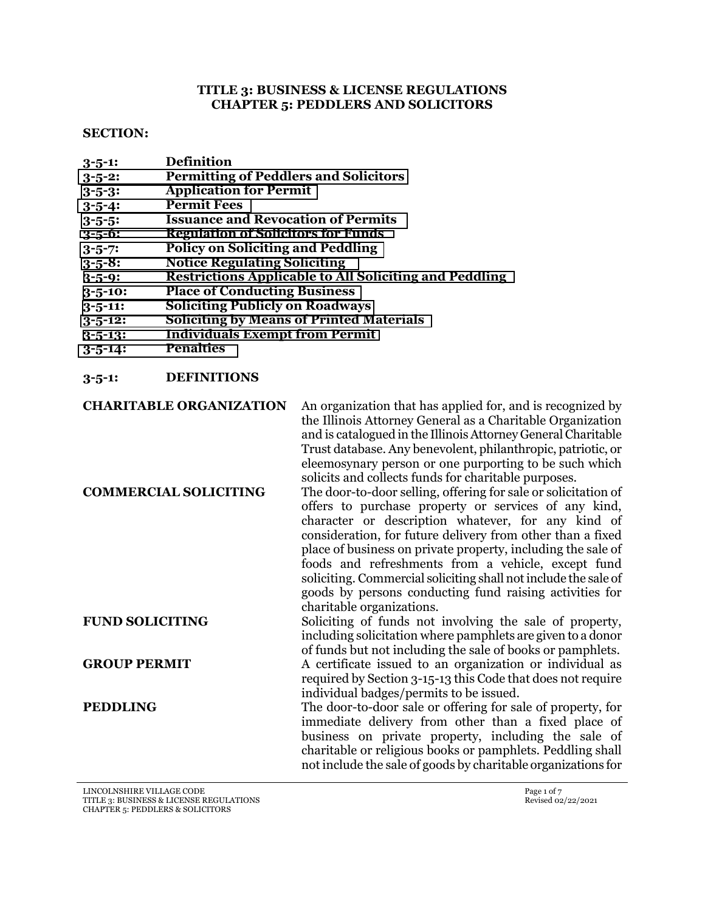#### **TITLE 3: BUSINESS & LICENSE REGULATIONS CHAPTER 5: PEDDLERS AND SOLICITORS**

#### **SECTION:**

- **3-5-1: Definition**
- **3-5-2: [Permitting of Peddlers and Solicitors](#page-1-0)**
- **3-5-3: [Application for Permit](#page-1-0)**
- **3-5-4: [Permit Fees](#page-2-0)**
- **3-5-5: [Issuance and Revocation of Permits](#page-2-0)**
- **3-5-6: [Regulation of Solicitors for Funds](#page-3-0)**
- **3-5-7: [Policy on Soliciting and Peddling](#page-4-0)**
- **3-5-8: [Notice Regulating Soliciting](#page-4-0)**
- **3-5-9: [Restrictions Applicable to All Soliciting and Peddling](#page-4-0)**
- **3-5-10: [Place of Conducting Business](#page-5-0)**
- **3-5-11: [Soliciting Publicly on Roadways](#page-5-0)**
- **3-5-12: [Soliciting by Means of Printed Materials](#page-6-0)**
- **3-5-13: [Individuals Exempt from Permit](#page-6-0)**
- **3-5-14: [Penalties](#page-6-0)**
- **3-5-1: DEFINITIONS**

**CHARITABLE ORGANIZATION** An organization that has applied for, and is recognized by the Illinois Attorney General as a Charitable Organization and is catalogued in the Illinois Attorney General Charitable Trust database. Any benevolent, philanthropic, patriotic, or eleemosynary person or one purporting to be such which solicits and collects funds for charitable purposes.

**COMMERCIAL SOLICITING** The door-to-door selling, offering for sale or solicitation of offers to purchase property or services of any kind, character or description whatever, for any kind of consideration, for future delivery from other than a fixed place of business on private property, including the sale of foods and refreshments from a vehicle, except fund soliciting. Commercial soliciting shall not include the sale of goods by persons conducting fund raising activities for charitable organizations. **FUND SOLICITING** Soliciting of funds not involving the sale of property, including solicitation where pamphlets are given to a donor

**GROUP PERMIT** A certificate issued to an organization or individual as required by Section 3-15-13 this Code that does not require individual badges/permits to be issued.

of funds but not including the sale of books or pamphlets.

**PEDDLING** The door-to-door sale or offering for sale of property, for immediate delivery from other than a fixed place of business on private property, including the sale of charitable or religious books or pamphlets. Peddling shall not include the sale of goods by charitable organizations for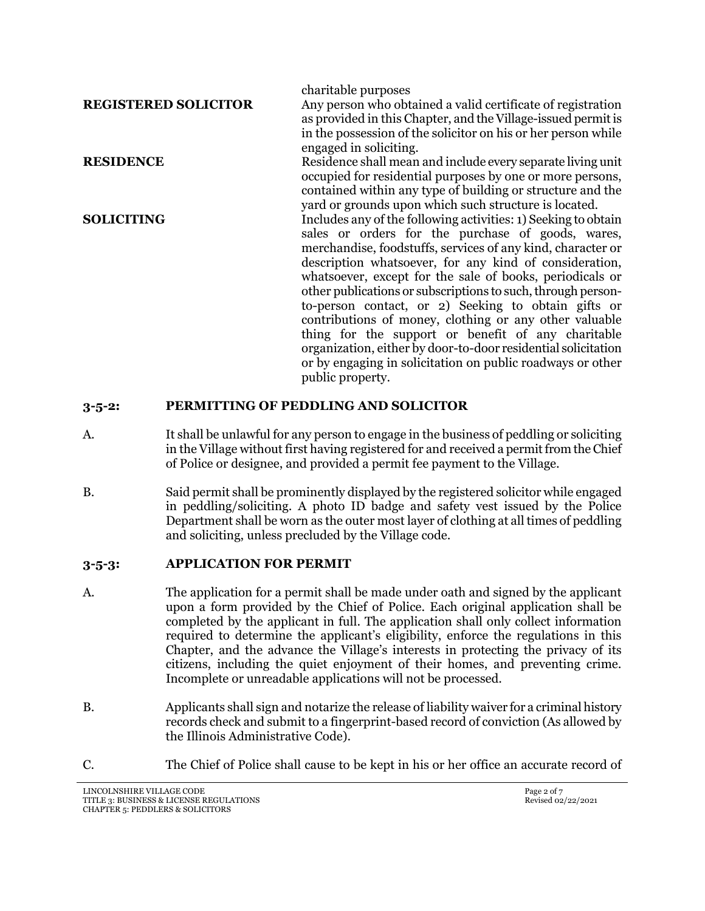<span id="page-1-0"></span>

|                             | charitable purposes                                            |
|-----------------------------|----------------------------------------------------------------|
| <b>REGISTERED SOLICITOR</b> | Any person who obtained a valid certificate of registration    |
|                             | as provided in this Chapter, and the Village-issued permit is  |
|                             | in the possession of the solicitor on his or her person while  |
|                             | engaged in soliciting.                                         |
| <b>RESIDENCE</b>            | Residence shall mean and include every separate living unit    |
|                             | occupied for residential purposes by one or more persons,      |
|                             | contained within any type of building or structure and the     |
|                             | yard or grounds upon which such structure is located.          |
| <b>SOLICITING</b>           | Includes any of the following activities: 1) Seeking to obtain |
|                             | sales or orders for the purchase of goods, wares,              |
|                             | merchandise, foodstuffs, services of any kind, character or    |
|                             | description whatsoever, for any kind of consideration,         |
|                             | whatsoever, except for the sale of books, periodicals or       |
|                             | other publications or subscriptions to such, through person-   |
|                             | to-person contact, or 2) Seeking to obtain gifts or            |
|                             | contributions of money, clothing or any other valuable         |
|                             | thing for the support or benefit of any charitable             |
|                             | organization, either by door-to-door residential solicitation  |
|                             | or by engaging in solicitation on public roadways or other     |
|                             | public property.                                               |

#### **3-5-2: PERMITTING OF PEDDLING AND SOLICITOR**

- A. It shall be unlawful for any person to engage in the business of peddling or soliciting in the Village without first having registered for and received a permit from the Chief of Police or designee, and provided a permit fee payment to the Village.
- B. Said permit shall be prominently displayed by the registered solicitor while engaged in peddling/soliciting. A photo ID badge and safety vest issued by the Police Department shall be worn as the outer most layer of clothing at all times of peddling and soliciting, unless precluded by the Village code.

## **3-5-3: APPLICATION FOR PERMIT**

- A. The application for a permit shall be made under oath and signed by the applicant upon a form provided by the Chief of Police. Each original application shall be completed by the applicant in full. The application shall only collect information required to determine the applicant's eligibility, enforce the regulations in this Chapter, and the advance the Village's interests in protecting the privacy of its citizens, including the quiet enjoyment of their homes, and preventing crime. Incomplete or unreadable applications will not be processed.
- B. Applicants shall sign and notarize the release of liability waiver for a criminal history records check and submit to a fingerprint-based record of conviction (As allowed by the Illinois Administrative Code).
- C. The Chief of Police shall cause to be kept in his or her office an accurate record of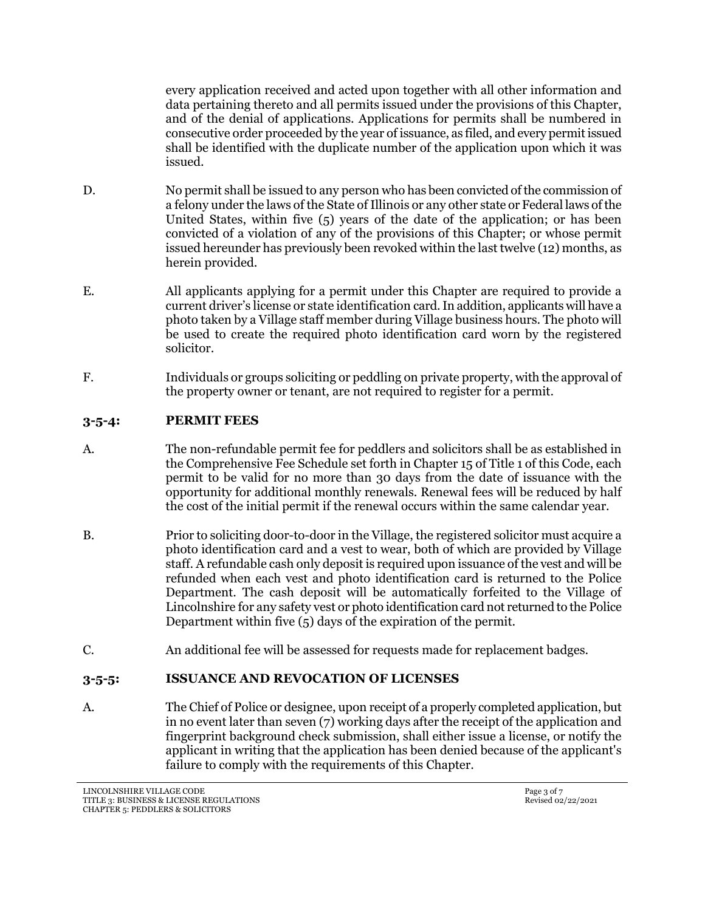<span id="page-2-0"></span>every application received and acted upon together with all other information and data pertaining thereto and all permits issued under the provisions of this Chapter, and of the denial of applications. Applications for permits shall be numbered in consecutive order proceeded by the year of issuance, as filed, and every permit issued shall be identified with the duplicate number of the application upon which it was issued.

- D. No permit shall be issued to any person who has been convicted of the commission of a felony under the laws of the State of Illinois or any other state or Federal laws of the United States, within five (5) years of the date of the application; or has been convicted of a violation of any of the provisions of this Chapter; or whose permit issued hereunder has previously been revoked within the last twelve (12) months, as herein provided.
- E. All applicants applying for a permit under this Chapter are required to provide a current driver's license or state identification card. In addition, applicants will have a photo taken by a Village staff member during Village business hours. The photo will be used to create the required photo identification card worn by the registered solicitor.
- F. Individuals or groups soliciting or peddling on private property, with the approval of the property owner or tenant, are not required to register for a permit.

#### **3-5-4: PERMIT FEES**

- A. The non-refundable permit fee for peddlers and solicitors shall be as established in the Comprehensive Fee Schedule set forth in Chapter 15 of Title 1 of this Code, each permit to be valid for no more than 30 days from the date of issuance with the opportunity for additional monthly renewals. Renewal fees will be reduced by half the cost of the initial permit if the renewal occurs within the same calendar year.
- B. Prior to soliciting door-to-door in the Village, the registered solicitor must acquire a photo identification card and a vest to wear, both of which are provided by Village staff. A refundable cash only deposit is required upon issuance of the vest and will be refunded when each vest and photo identification card is returned to the Police Department. The cash deposit will be automatically forfeited to the Village of Lincolnshire for any safety vest or photo identification card not returned to the Police Department within five (5) days of the expiration of the permit.
- C. An additional fee will be assessed for requests made for replacement badges.

## **3-5-5: ISSUANCE AND REVOCATION OF LICENSES**

A. The Chief of Police or designee, upon receipt of a properly completed application, but in no event later than seven (7) working days after the receipt of the application and fingerprint background check submission, shall either issue a license, or notify the applicant in writing that the application has been denied because of the applicant's failure to comply with the requirements of this Chapter.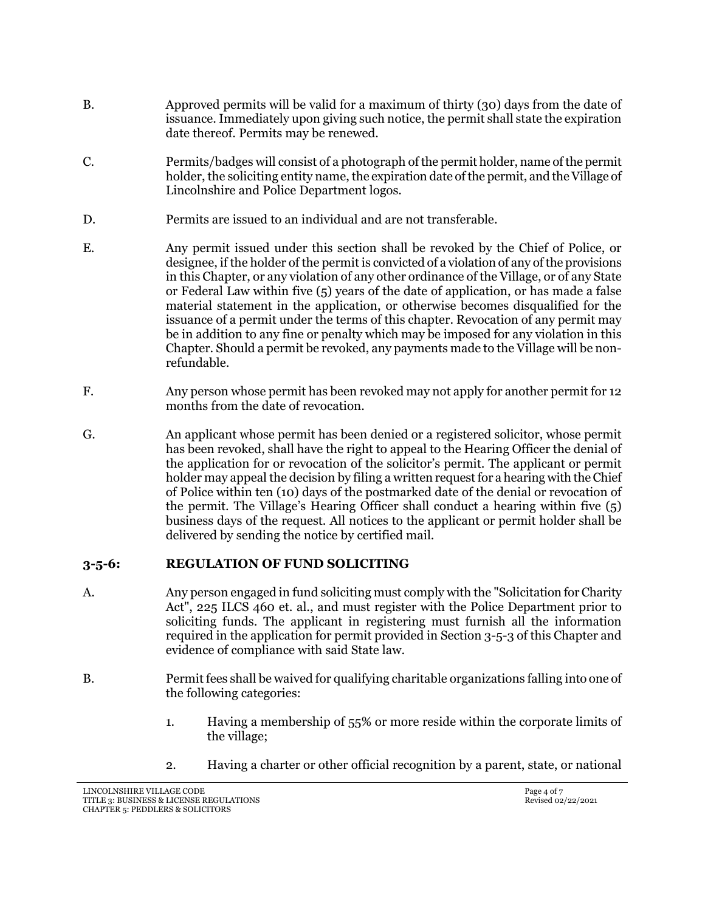- <span id="page-3-0"></span>B. Approved permits will be valid for a maximum of thirty (30) days from the date of issuance. Immediately upon giving such notice, the permit shall state the expiration date thereof. Permits may be renewed.
- C. Permits/badges will consist of a photograph of the permit holder, name of the permit holder, the soliciting entity name, the expiration date of the permit, and the Village of Lincolnshire and Police Department logos.
- D. Permits are issued to an individual and are not transferable.
- E. Any permit issued under this section shall be revoked by the Chief of Police, or designee, if the holder of the permit is convicted of a violation of any of the provisions in this Chapter, or any violation of any other ordinance of the Village, or of any State or Federal Law within five (5) years of the date of application, or has made a false material statement in the application, or otherwise becomes disqualified for the issuance of a permit under the terms of this chapter. Revocation of any permit may be in addition to any fine or penalty which may be imposed for any violation in this Chapter. Should a permit be revoked, any payments made to the Village will be nonrefundable.
- F. Any person whose permit has been revoked may not apply for another permit for 12 months from the date of revocation.
- G. An applicant whose permit has been denied or a registered solicitor, whose permit has been revoked, shall have the right to appeal to the Hearing Officer the denial of the application for or revocation of the solicitor's permit. The applicant or permit holder may appeal the decision by filing a written request for a hearing with the Chief of Police within ten (10) days of the postmarked date of the denial or revocation of the permit. The Village's Hearing Officer shall conduct a hearing within five (5) business days of the request. All notices to the applicant or permit holder shall be delivered by sending the notice by certified mail.

#### **3-5-6: REGULATION OF FUND SOLICITING**

- A. Any person engaged in fund soliciting must comply with the "Solicitation for Charity Act", 225 ILCS 460 et. al., and must register with the Police Department prior to soliciting funds. The applicant in registering must furnish all the information required in the application for permit provided in Section 3-5-3 of this Chapter and evidence of compliance with said State law.
- B. Permit fees shall be waived for qualifying charitable organizations falling into one of the following categories:
	- 1. Having a membership of 55% or more reside within the corporate limits of the village;
	- 2. Having a charter or other official recognition by a parent, state, or national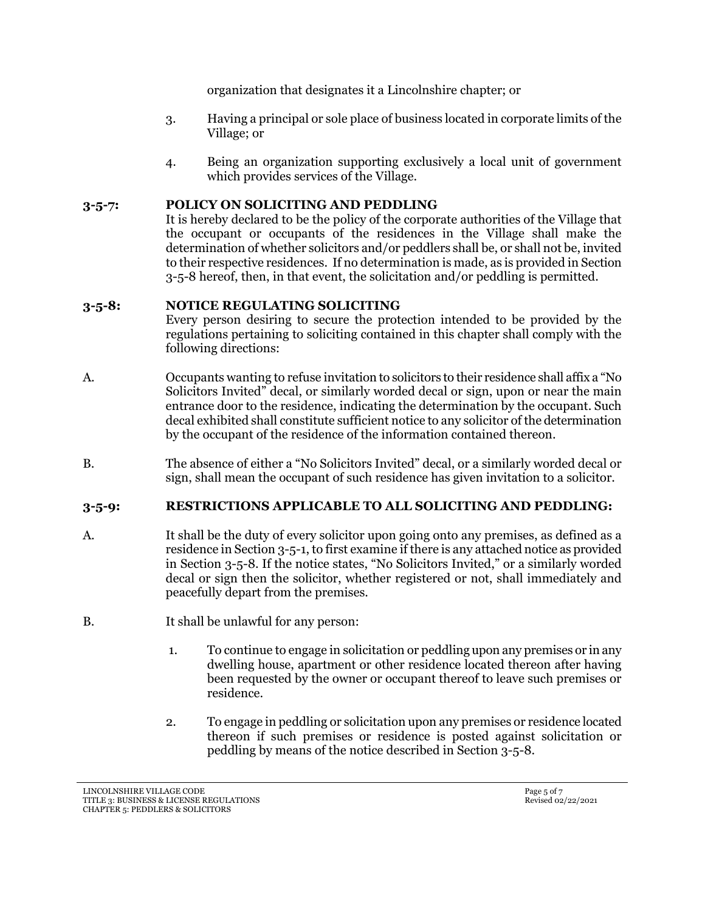organization that designates it a Lincolnshire chapter; or

- <span id="page-4-0"></span>3. Having a principal or sole place of business located in corporate limits of the Village; or
- 4. Being an organization supporting exclusively a local unit of government which provides services of the Village.

# **3-5-7: POLICY ON SOLICITING AND PEDDLING**

It is hereby declared to be the policy of the corporate authorities of the Village that the occupant or occupants of the residences in the Village shall make the determination of whether solicitors and/or peddlers shall be, or shall not be, invited to their respective residences. If no determination is made, as is provided in Section 3-5-8 hereof, then, in that event, the solicitation and/or peddling is permitted.

## **3-5-8: NOTICE REGULATING SOLICITING**

Every person desiring to secure the protection intended to be provided by the regulations pertaining to soliciting contained in this chapter shall comply with the following directions:

- A. Occupants wanting to refuse invitation to solicitors to their residence shall affix a "No Solicitors Invited" decal, or similarly worded decal or sign, upon or near the main entrance door to the residence, indicating the determination by the occupant. Such decal exhibited shall constitute sufficient notice to any solicitor of the determination by the occupant of the residence of the information contained thereon.
- B. The absence of either a "No Solicitors Invited" decal, or a similarly worded decal or sign, shall mean the occupant of such residence has given invitation to a solicitor.

# **3-5-9: RESTRICTIONS APPLICABLE TO ALL SOLICITING AND PEDDLING:**

- A. It shall be the duty of every solicitor upon going onto any premises, as defined as a residence in Section 3-5-1, to first examine if there is any attached notice as provided in Section 3-5-8. If the notice states, "No Solicitors Invited," or a similarly worded decal or sign then the solicitor, whether registered or not, shall immediately and peacefully depart from the premises.
- B. It shall be unlawful for any person:
	- 1. To continue to engage in solicitation or peddling upon any premises or in any dwelling house, apartment or other residence located thereon after having been requested by the owner or occupant thereof to leave such premises or residence.
	- 2. To engage in peddling or solicitation upon any premises or residence located thereon if such premises or residence is posted against solicitation or peddling by means of the notice described in Section 3-5-8.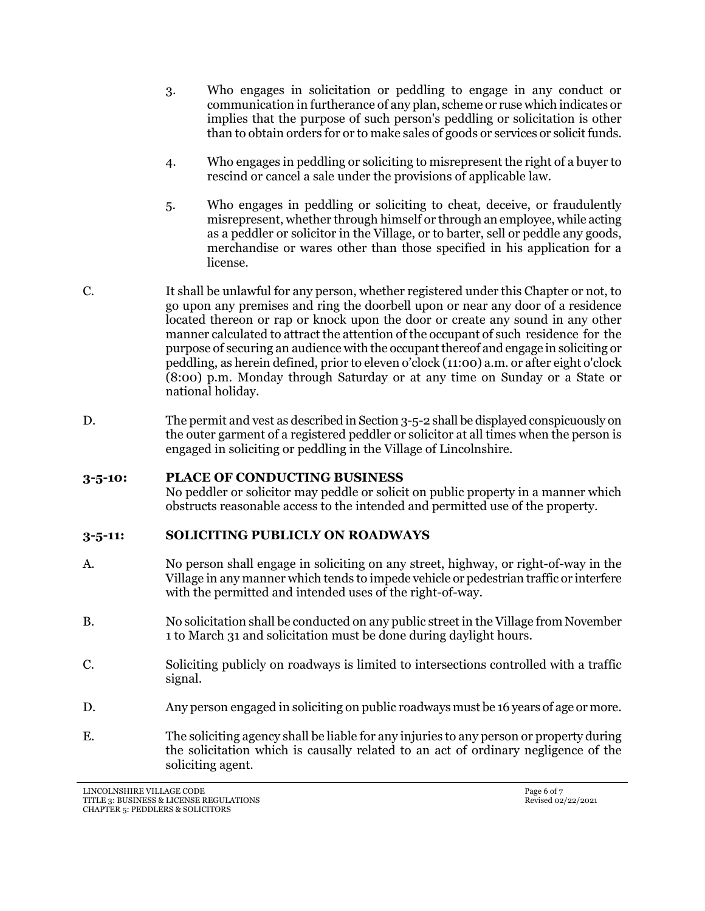- <span id="page-5-0"></span>3. Who engages in solicitation or peddling to engage in any conduct or communication in furtherance of any plan, scheme or ruse which indicates or implies that the purpose of such person's peddling or solicitation is other than to obtain orders for or to make sales of goods or services or solicit funds.
- 4. Who engages in peddling or soliciting to misrepresent the right of a buyer to rescind or cancel a sale under the provisions of applicable law.
- 5. Who engages in peddling or soliciting to cheat, deceive, or fraudulently misrepresent, whether through himself or through an employee, while acting as a peddler or solicitor in the Village, or to barter, sell or peddle any goods, merchandise or wares other than those specified in his application for a license.
- C. It shall be unlawful for any person, whether registered under this Chapter or not, to go upon any premises and ring the doorbell upon or near any door of a residence located thereon or rap or knock upon the door or create any sound in any other manner calculated to attract the attention of the occupant of such residence for the purpose of securing an audience with the occupant thereof and engage in soliciting or peddling, as herein defined, prior to eleven o'clock (11:00) a.m. or after eight o'clock (8:00) p.m. Monday through Saturday or at any time on Sunday or a State or national holiday.
- D. The permit and vest as described in Section 3-5-2 shall be displayed conspicuously on the outer garment of a registered peddler or solicitor at all times when the person is engaged in soliciting or peddling in the Village of Lincolnshire.

## **3-5-10: PLACE OF CONDUCTING BUSINESS**

No peddler or solicitor may peddle or solicit on public property in a manner which obstructs reasonable access to the intended and permitted use of the property.

## **3-5-11: SOLICITING PUBLICLY ON ROADWAYS**

- A. No person shall engage in soliciting on any street, highway, or right-of-way in the Village in any manner which tends to impede vehicle or pedestrian traffic or interfere with the permitted and intended uses of the right-of-way.
- B. No solicitation shall be conducted on any public street in the Village from November 1 to March 31 and solicitation must be done during daylight hours.
- C. Soliciting publicly on roadways is limited to intersections controlled with a traffic signal.
- D. Any person engaged in soliciting on public roadways must be 16 years of age or more.
- E. The soliciting agency shall be liable for any injuries to any person or property during the solicitation which is causally related to an act of ordinary negligence of the soliciting agent.